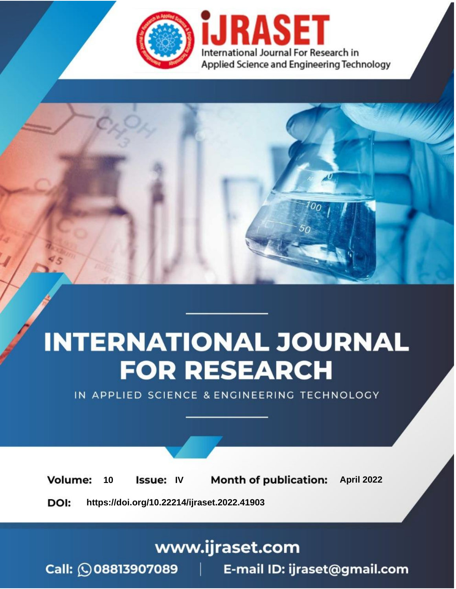

# **INTERNATIONAL JOURNAL FOR RESEARCH**

IN APPLIED SCIENCE & ENGINEERING TECHNOLOGY

10 **Issue: IV Month of publication:** April 2022 **Volume:** 

**https://doi.org/10.22214/ijraset.2022.41903**DOI:

www.ijraset.com

Call: 008813907089 | E-mail ID: ijraset@gmail.com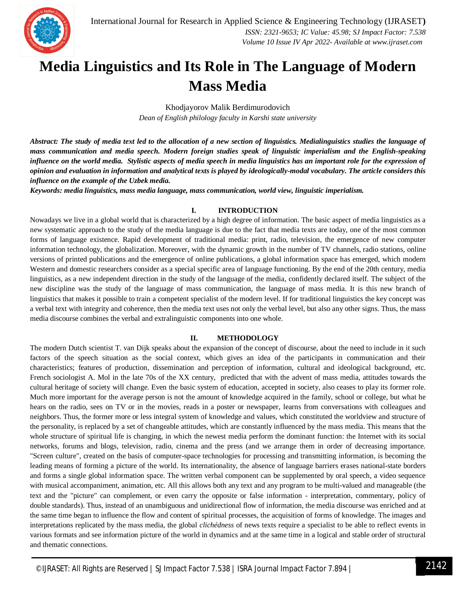

### **Media Linguistics and Its Role in The Language of Modern Mass Media**

Khodjayorov Malik Berdimurodovich *Dean of English philology faculty in Karshi state university*

*Abstract: The study of media text led to the allocation of a new section of linguistics. Medialinguistics studies the language of mass communication and media speech. Modern foreign studies speak of linguistic imperialism and the English-speaking influence on the world media. Stylistic aspects of media speech in media linguistics has an important role for the expression of opinion and evaluation in information and analytical texts is played by ideologically-modal vocabulary. The article considers this influence on the example of the Uzbek media.* 

*Keywords: media linguistics, mass media language, mass communication, world view, linguistic imperialism.* 

#### **I. INTRODUCTION**

Nowadays we live in a global world that is characterized by a high degree of information. The basic aspect of media linguistics as a new systematic approach to the study of the media language is due to the fact that media texts are today, one of the most common forms of language existence. Rapid development of traditional media: print, radio, television, the emergence of new computer information technology, the globalization. Moreover, with the dynamic growth in the number of TV channels, radio stations, online versions of printed publications and the emergence of online publications, a global information space has emerged, which modern Western and domestic researchers consider as a special specific area of language functioning. By the end of the 20th century, media linguistics, as a new independent direction in the study of the language of the media, confidently declared itself. The subject of the new discipline was the study of the language of mass communication, the language of mass media. It is this new branch of linguistics that makes it possible to train a competent specialist of the modern level. If for traditional linguistics the key concept was a verbal text with integrity and coherence, then the media text uses not only the verbal level, but also any other signs. Thus, the mass media discourse combines the verbal and extralinguistic components into one whole.

#### **II. METHODOLOGY**

The modern Dutch scientist T. van Dijk speaks about the expansion of the concept of discourse, about the need to include in it such factors of the speech situation as the social context, which gives an idea of the participants in communication and their characteristics; features of production, dissemination and perception of information, cultural and ideological background, etc. French sociologist A. Mol in the late 70s of the XX century, predicted that with the advent of mass media, attitudes towards the cultural heritage of society will change. Even the basic system of education, accepted in society, also ceases to play its former role. Much more important for the average person is not the amount of knowledge acquired in the family, school or college, but what he hears on the radio, sees on TV or in the movies, reads in a poster or newspaper, learns from conversations with colleagues and neighbors. Thus, the former more or less integral system of knowledge and values, which constituted the worldview and structure of the personality, is replaced by a set of changeable attitudes, which are constantly influenced by the mass media. This means that the whole structure of spiritual life is changing, in which the newest media perform the dominant function: the Internet with its social networks, forums and blogs, television, radio, cinema and the press (and we arrange them in order of decreasing importance. "Screen culture", created on the basis of computer-space technologies for processing and transmitting information, is becoming the leading means of forming a picture of the world. Its internationality, the absence of language barriers erases national-state borders and forms a single global information space. The written verbal component can be supplemented by oral speech, a video sequence with musical accompaniment, animation, etc. All this allows both any text and any program to be multi-valued and manageable (the text and the "picture" can complement, or even carry the opposite or false information - interpretation, commentary, policy of double standards). Thus, instead of an unambiguous and unidirectional flow of information, the media discourse was enriched and at the same time began to influence the flow and content of spiritual processes, the acquisition of forms of knowledge. The images and interpretations replicated by the mass media, the global *clichédness* of news texts require a specialist to be able to reflect events in various formats and see information picture of the world in dynamics and at the same time in a logical and stable order of structural and thematic connections.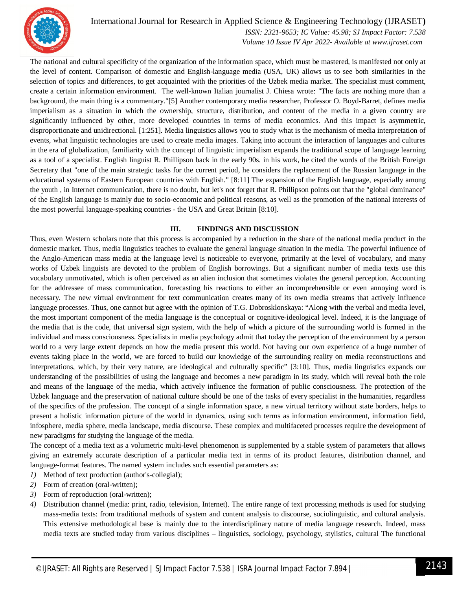

#### International Journal for Research in Applied Science & Engineering Technology (IJRASET**)**

 *ISSN: 2321-9653; IC Value: 45.98; SJ Impact Factor: 7.538 Volume 10 Issue IV Apr 2022- Available at www.ijraset.com*

The national and cultural specificity of the organization of the information space, which must be mastered, is manifested not only at the level of content. Comparison of domestic and English-language media (USA, UK) allows us to see both similarities in the selection of topics and differences, to get acquainted with the priorities of the Uzbek media market. The specialist must comment, create a certain information environment. The well-known Italian journalist J. Chiesa wrote: "The facts are nothing more than a background, the main thing is a commentary."[5] Another contemporary media researcher, Professor O. Boyd-Barret, defines media imperialism as a situation in which the ownership, structure, distribution, and content of the media in a given country are significantly influenced by other, more developed countries in terms of media economics. And this impact is asymmetric, disproportionate and unidirectional. [1:251]. Media linguistics allows you to study what is the mechanism of media interpretation of events, what linguistic technologies are used to create media images. Taking into account the interaction of languages and cultures in the era of globalization, familiarity with the concept of linguistic imperialism expands the traditional scope of language learning as a tool of a specialist. English linguist R. Phillipson back in the early 90s. in his work, he cited the words of the British Foreign Secretary that "one of the main strategic tasks for the current period, he considers the replacement of the Russian language in the educational systems of Eastern European countries with English." [8:11] The expansion of the English language, especially among the youth , in Internet communication, there is no doubt, but let's not forget that R. Phillipson points out that the "global dominance" of the English language is mainly due to socio-economic and political reasons, as well as the promotion of the national interests of the most powerful language-speaking countries - the USA and Great Britain [8:10].

#### **III. FINDINGS AND DISCUSSION**

Thus, even Western scholars note that this process is accompanied by a reduction in the share of the national media product in the domestic market. Thus, media linguistics teaches to evaluate the general language situation in the media. The powerful influence of the Anglo-American mass media at the language level is noticeable to everyone, primarily at the level of vocabulary, and many works of Uzbek linguists are devoted to the problem of English borrowings. But a significant number of media texts use this vocabulary unmotivated, which is often perceived as an alien inclusion that sometimes violates the general perception. Accounting for the addressee of mass communication, forecasting his reactions to either an incomprehensible or even annoying word is necessary. The new virtual environment for text communication creates many of its own media streams that actively influence language processes. Thus, one cannot but agree with the opinion of T.G. Dobrosklonskaya: "Along with the verbal and media level, the most important component of the media language is the conceptual or cognitive-ideological level. Indeed, it is the language of the media that is the code, that universal sign system, with the help of which a picture of the surrounding world is formed in the individual and mass consciousness. Specialists in media psychology admit that today the perception of the environment by a person world to a very large extent depends on how the media present this world. Not having our own experience of a huge number of events taking place in the world, we are forced to build our knowledge of the surrounding reality on media reconstructions and interpretations, which, by their very nature, are ideological and culturally specific" [3:10]. Thus, media linguistics expands our understanding of the possibilities of using the language and becomes a new paradigm in its study, which will reveal both the role and means of the language of the media, which actively influence the formation of public consciousness. The protection of the Uzbek language and the preservation of national culture should be one of the tasks of every specialist in the humanities, regardless of the specifics of the profession. The concept of a single information space, a new virtual territory without state borders, helps to present a holistic information picture of the world in dynamics, using such terms as information environment, information field, infosphere, media sphere, media landscape, media discourse. These complex and multifaceted processes require the development of new paradigms for studying the language of the media.

The concept of a media text as a volumetric multi-level phenomenon is supplemented by a stable system of parameters that allows giving an extremely accurate description of a particular media text in terms of its product features, distribution channel, and language-format features. The named system includes such essential parameters as:

- *1)* Method of text production (author's-collegial);
- *2)* Form of creation (oral-written);
- *3)* Form of reproduction (oral-written);
- *4)* Distribution channel (media: print, radio, television, Internet). The entire range of text processing methods is used for studying mass-media texts: from traditional methods of system and content analysis to discourse, sociolinguistic, and cultural analysis. This extensive methodological base is mainly due to the interdisciplinary nature of media language research. Indeed, mass media texts are studied today from various disciplines – linguistics, sociology, psychology, stylistics, cultural The functional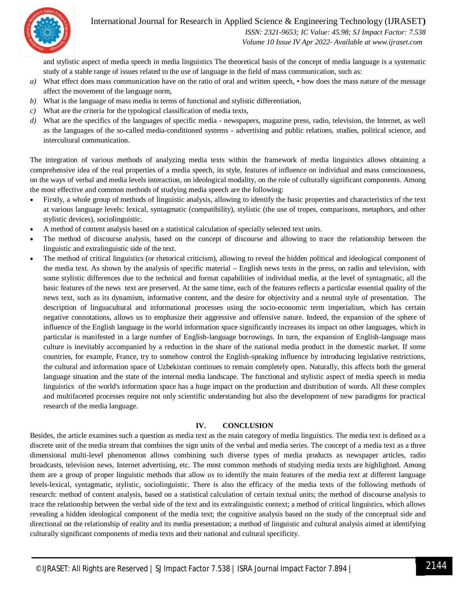

#### International Journal for Research in Applied Science & Engineering Technology (IJRASET**)**

 *ISSN: 2321-9653; IC Value: 45.98; SJ Impact Factor: 7.538 Volume 10 Issue IV Apr 2022- Available at www.ijraset.com*

and stylistic aspect of media speech in media linguistics The theoretical basis of the concept of media language is a systematic study of a stable range of issues related to the use of language in the field of mass communication, such as:

- *a)* What effect does mass communication have on the ratio of oral and written speech, how does the mass nature of the message affect the movement of the language norm,
- *b)* What is the language of mass media in terms of functional and stylistic differentiation,
- *c)* What are the criteria for the typological classification of media texts,
- *d)* What are the specifics of the languages of specific media newspapers, magazine press, radio, television, the Internet, as well as the languages of the so-called media-conditioned systems - advertising and public relations, studies, political science, and intercultural communication.

The integration of various methods of analyzing media texts within the framework of media linguistics allows obtaining a comprehensive idea of the real properties of a media speech, its style, features of influence on individual and mass consciousness, on the ways of verbal and media levels interaction, on ideological modality, on the role of culturally significant components. Among the most effective and common methods of studying media speech are the following:

- Firstly, a whole group of methods of linguistic analysis, allowing to identify the basic properties and characteristics of the text at various language levels: lexical, syntagmatic (compatibility), stylistic (the use of tropes, comparisons, metaphors, and other stylistic devices), sociolinguistic.
- A method of content analysis based on a statistical calculation of specially selected text units.
- The method of discourse analysis, based on the concept of discourse and allowing to trace the relationship between the linguistic and extralinguistic side of the text.
- The method of critical linguistics (or rhetorical criticism), allowing to reveal the hidden political and ideological component of the media text. As shown by the analysis of specific material – English news texts in the press, on radio and television, with some stylistic differences due to the technical and format capabilities of individual media, at the level of syntagmatic, all the basic features of the news text are preserved. At the same time, each of the features reflects a particular essential quality of the news text, such as its dynamism, informative content, and the desire for objectivity and a neutral style of presentation. The description of linguacultural and informational processes using the socio-economic term imperialism, which has certain negative connotations, allows us to emphasize their aggressive and offensive nature. Indeed, the expansion of the sphere of influence of the English language in the world information space significantly increases its impact on other languages, which in particular is manifested in a large number of English-language borrowings. In turn, the expansion of English-language mass culture is inevitably accompanied by a reduction in the share of the national media product in the domestic market. If some countries, for example, France, try to somehow control the English-speaking influence by introducing legislative restrictions, the cultural and information space of Uzbekistan continues to remain completely open. Naturally, this affects both the general language situation and the state of the internal media landscape. The functional and stylistic aspect of media speech in media linguistics of the world's information space has a huge impact on the production and distribution of words. All these complex and multifaceted processes require not only scientific understanding but also the development of new paradigms for practical research of the media language.

#### **IV. CONCLUSION**

Besides, the article examines such a question as media text as the main category of media linguistics. The media text is defined as a discrete unit of the media stream that combines the sign units of the verbal and media series. The concept of a media text as a three dimensional multi-level phenomenon allows combining such diverse types of media products as newspaper articles, radio broadcasts, television news, Internet advertising, etc. The most common methods of studying media texts are highlighted. Among them are a group of proper linguistic methods that allow us to identify the main features of the media text at different language levels-lexical, syntagmatic, stylistic, sociolinguistic. There is also the efficacy of the media texts of the following methods of research: method of content analysis, based on a statistical calculation of certain textual units; the method of discourse analysis to trace the relationship between the verbal side of the text and its extralinguistic context; a method of critical linguistics, which allows revealing a hidden ideological component of the media text; the cognitive analysis based on the study of the conceptual side and directional on the relationship of reality and its media presentation; a method of linguistic and cultural analysis aimed at identifying culturally significant components of media texts and their national and cultural specificity.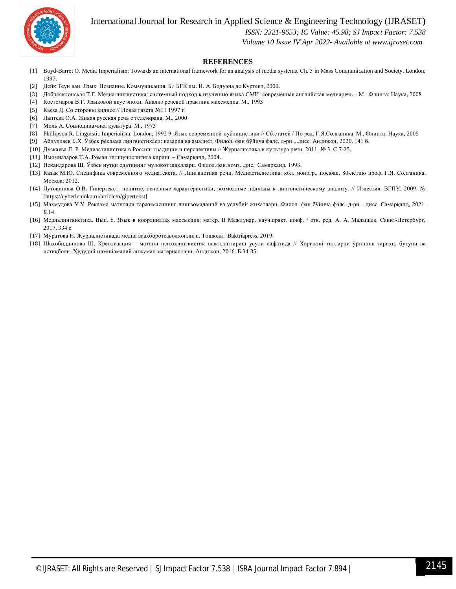



 *ISSN: 2321-9653; IC Value: 45.98; SJ Impact Factor: 7.538*

 *Volume 10 Issue IV Apr 2022- Available at www.ijraset.com*

#### **REFERENCES**

- [1] Boyd-Bаrret O. Media Imperialism: Towards an international framework for an analysis of media systems. Ch. 5 in Mass Communication and Society. London, 1997.
- [2] Дейк Теун ван. Язык. Познание. Коммуникация. Б.: БГК им. И. А. Бодуэна де Куртенэ, 2000.
- [3] Добросклонская Т.Г. Медиалингвистика: системный подход к изучению языка СМИ: современная английская медиаречь М.: Флинта: Наука, 2008 [4] Костомаров В.Г. Языковой вкус эпохи. Анализ речевой практики массмедиа. М., 1993
- [5] Кьеза Д. Со стороны виднее // Новая газета №11 1997 г.
- [6] Лаптева О.А. Живая русская речь с телеэкрана. М., 2000
- [7] Моль А. Социодинамика культура. М., 1973
- [8] Phillipson R. Linguistic Imperialism. London, 1992 9. Язык современной публицистики // Сб.статей / По ред. Г.Я.Солганика. М., Флинта: Наука, 2005
- [9] Абдуллаев Б.Х. Ўзбeк рeклама лингвистикаси: назария ва амалиёт. Филол. фан бўйича фалс. д-ри ...дисс. Андижон, 2020. 141 б.
- [10] Дускаева Л. Р. Медиастилистика в России: традиции и перспективы // Журналистика и культура речи. 2011. № 3. C.7-25.
- [11] Имомназаров Т.А. Роман тилшунослигига кириш. Самарқанд, 2004.
- [12] Искандарова Ш. Ўзбек нутқи одатининг мулоқот шакллари. Филол.фан.номз...дис. Самарқанд, 1993.
- [13] Казак М.Ю. Специфика современного медиатекста. // Лингвистика речи. Медиастилистика: кол. моногр., посвящ. 80-летию проф. Г.Я. Солганика. Москва: 2012.
- [14] Лутовинова О.В. Гипертекст: понятие, основные характеристики, возможные подходы к лингвистическому анализу. // Известия. ВГПУ, 2009. № [https://cyberleninka.ru/article/n/gipertekst]
- [15] Маҳмудова У.У. Реклама матнлари таржимасининг лингвомаданий ва услубий жиҳатлари. Филол. фан бўйича фалс. д-ри ...дисс. Самарқанд, 2021. Б.14.
- [16] Медиалингвистика. Вып. 6. Язык в координатах массмедиа: матер. II Междунар. науч.практ. конф. / отв. ред. А. А. Малышев. Санкт-Петербург, 2017. 334 с.
- [17] Муратова Н. Журналистикада медиа ваахборотсаводхонлиги. Тошкент: Baktriapress, 2019.
- [18] Шаҳобиддинова Ш. Креолизация матнни психолингвистик шакллантириш усули сифатида // Хорижий тилларни ўрганиш тарихи, бугуни ва истиқболи. Ҳудудий илмийамалий анжуман материаллари. Андижон, 2016. Б.34-35.